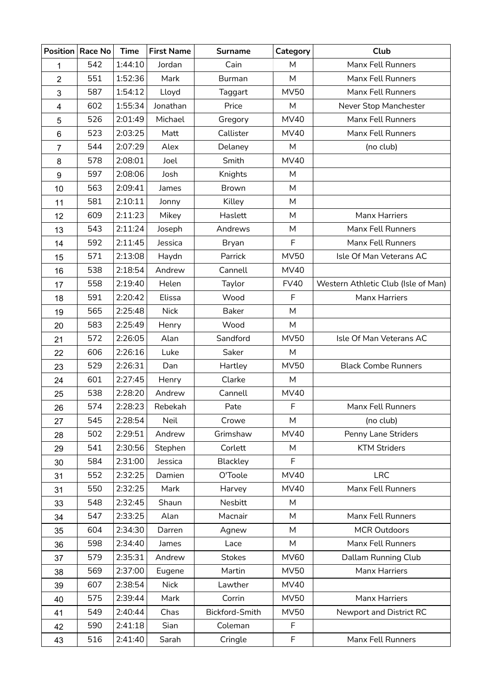| <b>Position</b> | Race No | <b>Time</b> | <b>First Name</b> | <b>Surname</b> | Category    | Club                                |
|-----------------|---------|-------------|-------------------|----------------|-------------|-------------------------------------|
| 1               | 542     | 1:44:10     | Jordan            | Cain           | M           | Manx Fell Runners                   |
| 2               | 551     | 1:52:36     | Mark              | <b>Burman</b>  | M           | Manx Fell Runners                   |
| 3               | 587     | 1:54:12     | Lloyd             | Taggart        | <b>MV50</b> | Manx Fell Runners                   |
| 4               | 602     | 1:55:34     | Jonathan          | Price          | M           | Never Stop Manchester               |
| 5               | 526     | 2:01:49     | Michael           | Gregory        | <b>MV40</b> | Manx Fell Runners                   |
| 6               | 523     | 2:03:25     | Matt              | Callister      | <b>MV40</b> | Manx Fell Runners                   |
| $\overline{7}$  | 544     | 2:07:29     | Alex              | Delaney        | M           | (no club)                           |
| 8               | 578     | 2:08:01     | Joel              | Smith          | <b>MV40</b> |                                     |
| 9               | 597     | 2:08:06     | Josh              | Knights        | M           |                                     |
| 10              | 563     | 2:09:41     | James             | Brown          | M           |                                     |
| 11              | 581     | 2:10:11     | Jonny             | Killey         | M           |                                     |
| 12              | 609     | 2:11:23     | Mikey             | Haslett        | M           | <b>Manx Harriers</b>                |
| 13              | 543     | 2:11:24     | Joseph            | Andrews        | М           | Manx Fell Runners                   |
| 14              | 592     | 2:11:45     | Jessica           | Bryan          | F           | Manx Fell Runners                   |
| 15              | 571     | 2:13:08     | Haydn             | Parrick        | <b>MV50</b> | Isle Of Man Veterans AC             |
| 16              | 538     | 2:18:54     | Andrew            | Cannell        | <b>MV40</b> |                                     |
| 17              | 558     | 2:19:40     | Helen             | Taylor         | <b>FV40</b> | Western Athletic Club (Isle of Man) |
| 18              | 591     | 2:20:42     | Elissa            | Wood           | F           | Manx Harriers                       |
| 19              | 565     | 2:25:48     | <b>Nick</b>       | <b>Baker</b>   | M           |                                     |
| 20              | 583     | 2:25:49     | Henry             | Wood           | M           |                                     |
| 21              | 572     | 2:26:05     | Alan              | Sandford       | <b>MV50</b> | Isle Of Man Veterans AC             |
| 22              | 606     | 2:26:16     | Luke              | Saker          | M           |                                     |
| 23              | 529     | 2:26:31     | Dan               | Hartley        | <b>MV50</b> | <b>Black Combe Runners</b>          |
| 24              | 601     | 2:27:45     | Henry             | Clarke         | M           |                                     |
| 25              | 538     | 2:28:20     | Andrew            | Cannell        | <b>MV40</b> |                                     |
| 26              | 574     | 2:28:23     | Rebekah           | Pate           | F           | Manx Fell Runners                   |
| 27              | 545     | 2:28:54     | Neil              | Crowe          | М           | (no club)                           |
| 28              | 502     | 2:29:51     | Andrew            | Grimshaw       | <b>MV40</b> | Penny Lane Striders                 |
| 29              | 541     | 2:30:56     | Stephen           | Corlett        | M           | <b>KTM Striders</b>                 |
| 30              | 584     | 2:31:00     | Jessica           | Blackley       | F           |                                     |
| 31              | 552     | 2:32:25     | Damien            | O'Toole        | <b>MV40</b> | <b>LRC</b>                          |
| 31              | 550     | 2:32:25     | Mark              | Harvey         | <b>MV40</b> | Manx Fell Runners                   |
| 33              | 548     | 2:32:45     | Shaun             | Nesbitt        | M           |                                     |
| 34              | 547     | 2:33:25     | Alan              | Macnair        | M           | Manx Fell Runners                   |
| 35              | 604     | 2:34:30     | Darren            | Agnew          | M           | <b>MCR Outdoors</b>                 |
| 36              | 598     | 2:34:40     | James             | Lace           | M           | Manx Fell Runners                   |
| 37              | 579     | 2:35:31     | Andrew            | <b>Stokes</b>  | <b>MV60</b> | Dallam Running Club                 |
| 38              | 569     | 2:37:00     | Eugene            | Martin         | MV50        | Manx Harriers                       |
| 39              | 607     | 2:38:54     | <b>Nick</b>       | Lawther        | <b>MV40</b> |                                     |
| 40              | 575     | 2:39:44     | Mark              | Corrin         | <b>MV50</b> | Manx Harriers                       |
| 41              | 549     | 2:40:44     | Chas              | Bickford-Smith | <b>MV50</b> | Newport and District RC             |
| 42              | 590     | 2:41:18     | Sian              | Coleman        | F           |                                     |
| 43              | 516     | 2:41:40     | Sarah             | Cringle        | F           | Manx Fell Runners                   |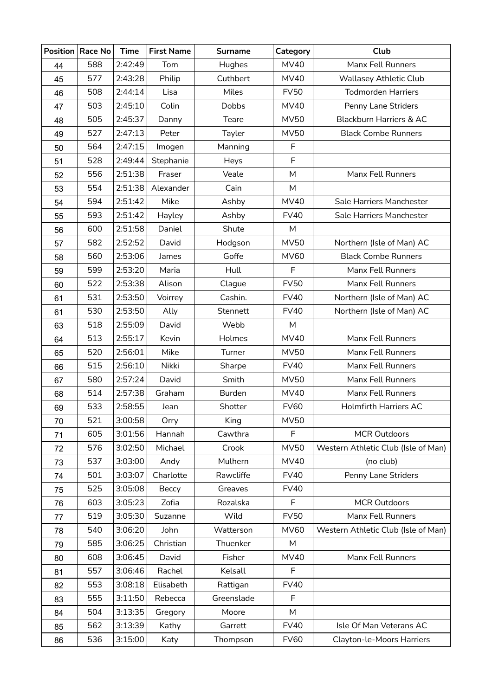|    | Position   Race No | <b>Time</b> | <b>First Name</b> | <b>Surname</b> | Category    | Club                                |
|----|--------------------|-------------|-------------------|----------------|-------------|-------------------------------------|
| 44 | 588                | 2:42:49     | Tom               | Hughes         | <b>MV40</b> | Manx Fell Runners                   |
| 45 | 577                | 2:43:28     | Philip            | Cuthbert       | <b>MV40</b> | <b>Wallasey Athletic Club</b>       |
| 46 | 508                | 2:44:14     | Lisa              | Miles          | <b>FV50</b> | <b>Todmorden Harriers</b>           |
| 47 | 503                | 2:45:10     | Colin             | <b>Dobbs</b>   | <b>MV40</b> | Penny Lane Striders                 |
| 48 | 505                | 2:45:37     | Danny             | Teare          | MV50        | <b>Blackburn Harriers &amp; AC</b>  |
| 49 | 527                | 2:47:13     | Peter             | Tayler         | <b>MV50</b> | <b>Black Combe Runners</b>          |
| 50 | 564                | 2:47:15     | Imogen            | Manning        | F           |                                     |
| 51 | 528                | 2:49:44     | Stephanie         | Heys           | F           |                                     |
| 52 | 556                | 2:51:38     | Fraser            | Veale          | M           | Manx Fell Runners                   |
| 53 | 554                | 2:51:38     | Alexander         | Cain           | M           |                                     |
| 54 | 594                | 2:51:42     | Mike              | Ashby          | <b>MV40</b> | Sale Harriers Manchester            |
| 55 | 593                | 2:51:42     | Hayley            | Ashby          | <b>FV40</b> | Sale Harriers Manchester            |
| 56 | 600                | 2:51:58     | Daniel            | Shute          | M           |                                     |
| 57 | 582                | 2:52:52     | David             | Hodgson        | <b>MV50</b> | Northern (Isle of Man) AC           |
| 58 | 560                | 2:53:06     | James             | Goffe          | <b>MV60</b> | <b>Black Combe Runners</b>          |
| 59 | 599                | 2:53:20     | Maria             | Hull           | F           | Manx Fell Runners                   |
| 60 | 522                | 2:53:38     | Alison            | Clague         | <b>FV50</b> | Manx Fell Runners                   |
| 61 | 531                | 2:53:50     | Voirrey           | Cashin.        | <b>FV40</b> | Northern (Isle of Man) AC           |
| 61 | 530                | 2:53:50     | Ally              | Stennett       | <b>FV40</b> | Northern (Isle of Man) AC           |
| 63 | 518                | 2:55:09     | David             | Webb           | M           |                                     |
| 64 | 513                | 2:55:17     | Kevin             | Holmes         | <b>MV40</b> | Manx Fell Runners                   |
| 65 | 520                | 2:56:01     | Mike              | Turner         | MV50        | Manx Fell Runners                   |
| 66 | 515                | 2:56:10     | Nikki             | Sharpe         | <b>FV40</b> | Manx Fell Runners                   |
| 67 | 580                | 2:57:24     | David             | Smith          | <b>MV50</b> | Manx Fell Runners                   |
| 68 | 514                | 2:57:38     | Graham            | <b>Burden</b>  | <b>MV40</b> | Manx Fell Runners                   |
| 69 | 533                | 2:58:55     | Jean              | Shotter        | <b>FV60</b> | <b>Holmfirth Harriers AC</b>        |
| 70 | 521                | 3:00:58     | Orry              | King           | <b>MV50</b> |                                     |
| 71 | 605                | 3:01:56     | Hannah            | Cawthra        | F           | <b>MCR Outdoors</b>                 |
| 72 | 576                | 3:02:50     | Michael           | Crook          | <b>MV50</b> | Western Athletic Club (Isle of Man) |
| 73 | 537                | 3:03:00     | Andy              | Mulhern        | <b>MV40</b> | (no club)                           |
| 74 | 501                | 3:03:07     | Charlotte         | Rawcliffe      | <b>FV40</b> | Penny Lane Striders                 |
| 75 | 525                | 3:05:08     | Beccy             | Greaves        | <b>FV40</b> |                                     |
| 76 | 603                | 3:05:23     | Zofia             | Rozalska       | F           | <b>MCR Outdoors</b>                 |
| 77 | 519                | 3:05:30     | Suzanne           | Wild           | <b>FV50</b> | Manx Fell Runners                   |
| 78 | 540                | 3:06:20     | John              | Watterson      | <b>MV60</b> | Western Athletic Club (Isle of Man) |
| 79 | 585                | 3:06:25     | Christian         | Thuenker       | M           |                                     |
| 80 | 608                | 3:06:45     | David             | Fisher         | <b>MV40</b> | Manx Fell Runners                   |
| 81 | 557                | 3:06:46     | Rachel            | Kelsall        | F           |                                     |
| 82 | 553                | 3:08:18     | Elisabeth         | Rattigan       | <b>FV40</b> |                                     |
| 83 | 555                | 3:11:50     | Rebecca           | Greenslade     | F           |                                     |
| 84 | 504                | 3:13:35     | Gregory           | Moore          | M           |                                     |
| 85 | 562                | 3:13:39     | Kathy             | Garrett        | <b>FV40</b> | Isle Of Man Veterans AC             |
| 86 | 536                | 3:15:00     | Katy              | Thompson       | <b>FV60</b> | <b>Clayton-le-Moors Harriers</b>    |